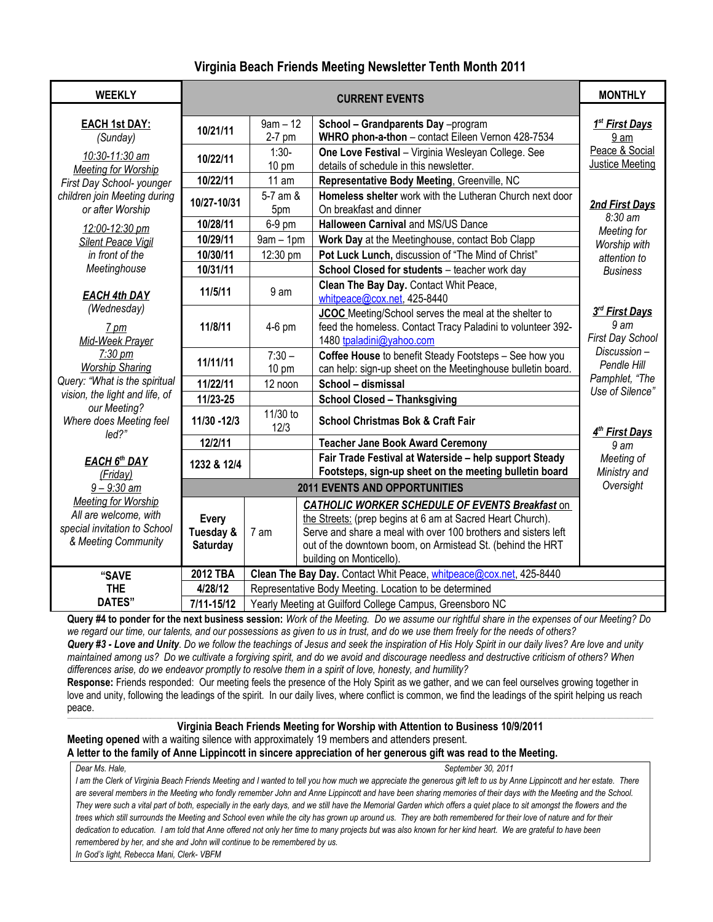# **Virginia Beach Friends Meeting Newsletter Tenth Month 2011**

| <b>WEEKLY</b>                                                                                              |                                       | <b>MONTHLY</b>                                                                                         |                                                                                                                                                                                                                                                                                  |                                                                 |  |
|------------------------------------------------------------------------------------------------------------|---------------------------------------|--------------------------------------------------------------------------------------------------------|----------------------------------------------------------------------------------------------------------------------------------------------------------------------------------------------------------------------------------------------------------------------------------|-----------------------------------------------------------------|--|
| <b>EACH 1st DAY:</b>                                                                                       | 10/21/11                              | $9am - 12$                                                                                             | School - Grandparents Day -program                                                                                                                                                                                                                                               | 1 <sup>st</sup> First Days                                      |  |
| (Sunday)                                                                                                   |                                       | 2-7 pm                                                                                                 | WHRO phon-a-thon - contact Eileen Vernon 428-7534                                                                                                                                                                                                                                | 9 am                                                            |  |
| 10:30-11:30 am<br>10/22/11                                                                                 |                                       | $1:30-$<br>10 pm                                                                                       | One Love Festival - Virginia Wesleyan College. See<br>details of schedule in this newsletter.                                                                                                                                                                                    | Peace & Social<br><b>Justice Meeting</b>                        |  |
| <b>Meeting for Worship</b><br>First Day School- younger                                                    | 10/22/11                              | 11 am                                                                                                  | Representative Body Meeting, Greenville, NC                                                                                                                                                                                                                                      |                                                                 |  |
| children join Meeting during<br>or after Worship                                                           | 10/27-10/31                           | Homeless shelter work with the Lutheran Church next door<br>5-7 am &<br>On breakfast and dinner<br>5pm |                                                                                                                                                                                                                                                                                  | 2nd First Days                                                  |  |
| 12:00-12:30 pm                                                                                             | 10/28/11                              | 6-9 pm                                                                                                 | <b>Halloween Carnival and MS/US Dance</b>                                                                                                                                                                                                                                        | 8:30 am                                                         |  |
| <b>Silent Peace Vigil</b>                                                                                  | 10/29/11                              | $9am - 1pm$                                                                                            | Work Day at the Meetinghouse, contact Bob Clapp                                                                                                                                                                                                                                  | Meeting for<br>Worship with                                     |  |
| in front of the                                                                                            | 10/30/11                              | 12:30 pm                                                                                               | Pot Luck Lunch, discussion of "The Mind of Christ"                                                                                                                                                                                                                               | attention to                                                    |  |
| Meetinghouse                                                                                               | 10/31/11                              |                                                                                                        | School Closed for students - teacher work day                                                                                                                                                                                                                                    | <b>Business</b>                                                 |  |
| <b>EACH 4th DAY</b>                                                                                        | 11/5/11                               | 9 am                                                                                                   | Clean The Bay Day. Contact Whit Peace,<br>whitpeace@cox.net, 425-8440                                                                                                                                                                                                            |                                                                 |  |
| (Wednesday)<br>$7 \text{ pm}$<br>Mid-Week Prayer                                                           | 11/8/11                               | 4-6 pm                                                                                                 | JCOC Meeting/School serves the meal at the shelter to<br>feed the homeless. Contact Tracy Paladini to volunteer 392-<br>1480 tpaladini@yahoo.com                                                                                                                                 | 3rd First Days<br>9 <sub>am</sub><br>First Day School           |  |
| $7:30 \text{ pm}$<br><b>Worship Sharing</b>                                                                | 11/11/11                              | $7:30 -$<br>$10 \text{ pm}$                                                                            | Coffee House to benefit Steady Footsteps - See how you<br>can help: sign-up sheet on the Meetinghouse bulletin board.                                                                                                                                                            | Discussion-<br>Pendle Hill<br>Pamphlet, "The<br>Use of Silence" |  |
| Query: "What is the spiritual                                                                              | 11/22/11                              | 12 noon                                                                                                | School - dismissal                                                                                                                                                                                                                                                               |                                                                 |  |
| vision, the light and life, of                                                                             | 11/23-25                              |                                                                                                        | <b>School Closed - Thanksgiving</b>                                                                                                                                                                                                                                              |                                                                 |  |
| our Meeting?<br>Where does Meeting feel<br>led?                                                            | 11/30 - 12/3                          | 11/30 to<br>12/3                                                                                       | <b>School Christmas Bok &amp; Craft Fair</b>                                                                                                                                                                                                                                     | 4 <sup>th</sup> First Days                                      |  |
|                                                                                                            | 12/2/11                               | <b>Teacher Jane Book Award Ceremony</b>                                                                |                                                                                                                                                                                                                                                                                  | 9 <sub>am</sub>                                                 |  |
| EACH 6th DAY                                                                                               | 1232 & 12/4                           |                                                                                                        | Fair Trade Festival at Waterside - help support Steady<br>Footsteps, sign-up sheet on the meeting bulletin board                                                                                                                                                                 | Meeting of<br>Ministry and                                      |  |
| (Friday)<br>$9 - 9:30$ am                                                                                  |                                       | Oversight                                                                                              |                                                                                                                                                                                                                                                                                  |                                                                 |  |
| <b>Meeting for Worship</b><br>All are welcome, with<br>special invitation to School<br>& Meeting Community | <b>Every</b><br>Tuesday &<br>Saturday | 7 am                                                                                                   | <b>CATHOLIC WORKER SCHEDULE OF EVENTS Breakfast on</b><br>the Streets: (prep begins at 6 am at Sacred Heart Church).<br>Serve and share a meal with over 100 brothers and sisters left<br>out of the downtown boom, on Armistead St. (behind the HRT<br>building on Monticello). |                                                                 |  |
| "SAVE                                                                                                      | 2012 TBA                              | Clean The Bay Day. Contact Whit Peace, whitpeace@cox.net, 425-8440                                     |                                                                                                                                                                                                                                                                                  |                                                                 |  |
| <b>THE</b>                                                                                                 | 4/28/12                               | Representative Body Meeting. Location to be determined                                                 |                                                                                                                                                                                                                                                                                  |                                                                 |  |
| <b>DATES"</b>                                                                                              | 7/11-15/12                            | Yearly Meeting at Guilford College Campus, Greensboro NC                                               |                                                                                                                                                                                                                                                                                  |                                                                 |  |

**Query #4 to ponder for the next business session:** *Work of the Meeting. Do we assume our rightful share in the expenses of our Meeting? Do we regard our time, our talents, and our possessions as given to us in trust, and do we use them freely for the needs of others? Query #3 - Love and Unity. Do we follow the teachings of Jesus and seek the inspiration of His Holy Spirit in our daily lives? Are love and unity* 

*maintained among us? Do we cultivate a forgiving spirit, and do we avoid and discourage needless and destructive criticism of others? When differences arise, do we endeavor promptly to resolve them in a spirit of love, honesty, and humility?*

**Response:** Friends responded: Our meeting feels the presence of the Holy Spirit as we gather, and we can feel ourselves growing together in love and unity, following the leadings of the spirit. In our daily lives, where conflict is common, we find the leadings of the spirit helping us reach peace.

#### ,我们也不能会在这里,我们也不能会在这里,我们也不能会在这里,我们也不能会在这里,我们也不能会在这里,我们也不能会不能会不能会。""我们,我们也不能会不能会不能 **Virginia Beach Friends Meeting for Worship with Attention to Business 10/9/2011**

**Meeting opened** with a waiting silence with approximately 19 members and attenders present.

# **A letter to the family of Anne Lippincott in sincere appreciation of her generous gift was read to the Meeting.**

*Dear Ms. Hale, September 30, 2011* I am the Clerk of Virginia Beach Friends Meeting and I wanted to tell you how much we appreciate the generous gift left to us by Anne Lippincott and her estate. There are several members in the Meeting who fondly remember John and Anne Lippincott and have been sharing memories of their days with the Meeting and the School. They were such a vital part of both, especially in the early days, and we still have the Memorial Garden which offers a quiet place to sit amongst the flowers and the trees which still surrounds the Meeting and School even while the city has grown up around us. They are both remembered for their love of nature and for their dedication to education. I am told that Anne offered not only her time to many projects but was also known for her kind heart. We are grateful to have been *remembered by her, and she and John will continue to be remembered by us. In God's light, Rebecca Mani, Clerk- VBFM*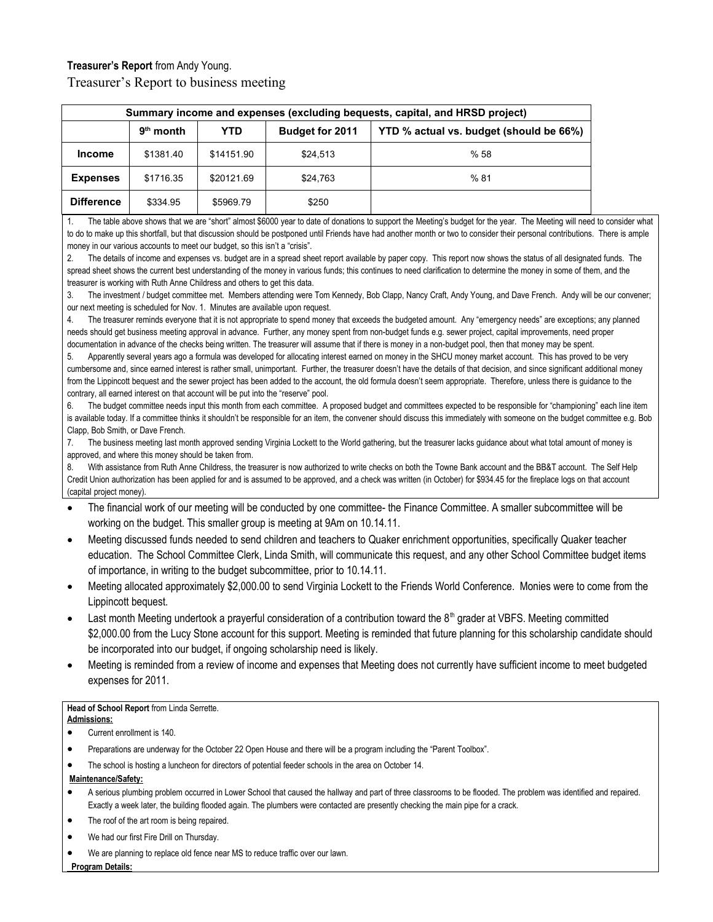# **Treasurer's Report** from Andy Young.

Treasurer's Report to business meeting

| Summary income and expenses (excluding bequests, capital, and HRSD project) |             |            |                        |                                         |  |  |  |
|-----------------------------------------------------------------------------|-------------|------------|------------------------|-----------------------------------------|--|--|--|
|                                                                             | $9th$ month | YTD        | <b>Budget for 2011</b> | YTD % actual vs. budget (should be 66%) |  |  |  |
| <b>Income</b>                                                               | \$1381.40   | \$14151.90 | \$24,513               | %58                                     |  |  |  |
| <b>Expenses</b>                                                             | \$1716.35   | \$20121.69 | \$24,763               | %81                                     |  |  |  |
| <b>Difference</b>                                                           | \$334.95    | \$5969.79  | \$250                  |                                         |  |  |  |

The table above shows that we are "short" almost \$6000 year to date of donations to support the Meeting's budget for the year. The Meeting will need to consider what to do to make up this shortfall, but that discussion should be postponed until Friends have had another month or two to consider their personal contributions. There is ample money in our various accounts to meet our budget, so this isn't a "crisis".

2. The details of income and expenses vs. budget are in a spread sheet report available by paper copy. This report now shows the status of all designated funds. The spread sheet shows the current best understanding of the money in various funds; this continues to need clarification to determine the money in some of them, and the treasurer is working with Ruth Anne Childress and others to get this data.

3. The investment / budget committee met. Members attending were Tom Kennedy, Bob Clapp, Nancy Craft, Andy Young, and Dave French. Andy will be our convener; our next meeting is scheduled for Nov. 1. Minutes are available upon request.

The treasurer reminds everyone that it is not appropriate to spend money that exceeds the budgeted amount. Any "emergency needs" are exceptions; any planned needs should get business meeting approval in advance. Further, any money spent from non-budget funds e.g. sewer project, capital improvements, need proper documentation in advance of the checks being written. The treasurer will assume that if there is money in a non-budget pool, then that money may be spent.

Apparently several years ago a formula was developed for allocating interest earned on money in the SHCU money market account. This has proved to be very cumbersome and, since earned interest is rather small, unimportant. Further, the treasurer doesn't have the details of that decision, and since significant additional money from the Lippincott bequest and the sewer project has been added to the account, the old formula doesn't seem appropriate. Therefore, unless there is quidance to the contrary, all earned interest on that account will be put into the "reserve" pool.

The budget committee needs input this month from each committee. A proposed budget and committees expected to be responsible for "championing" each line item is available today. If a committee thinks it shouldn't be responsible for an item, the convener should discuss this immediately with someone on the budget committee e.g. Bob Clapp, Bob Smith, or Dave French.

7. The business meeting last month approved sending Virginia Lockett to the World gathering, but the treasurer lacks guidance about what total amount of money is approved, and where this money should be taken from.

8. With assistance from Ruth Anne Childress, the treasurer is now authorized to write checks on both the Towne Bank account and the BB&T account. The Self Help Credit Union authorization has been applied for and is assumed to be approved, and a check was written (in October) for \$934.45 for the fireplace logs on that account (capital project money).

- The financial work of our meeting will be conducted by one committee- the Finance Committee. A smaller subcommittee will be working on the budget. This smaller group is meeting at 9Am on 10.14.11.
- Meeting discussed funds needed to send children and teachers to Quaker enrichment opportunities, specifically Quaker teacher education. The School Committee Clerk, Linda Smith, will communicate this request, and any other School Committee budget items of importance, in writing to the budget subcommittee, prior to 10.14.11.
- Meeting allocated approximately \$2,000.00 to send Virginia Lockett to the Friends World Conference. Monies were to come from the Lippincott bequest.
- Last month Meeting undertook a prayerful consideration of a contribution toward the  $8<sup>th</sup>$  grader at VBFS. Meeting committed \$2,000.00 from the Lucy Stone account for this support. Meeting is reminded that future planning for this scholarship candidate should be incorporated into our budget, if ongoing scholarship need is likely.
- Meeting is reminded from a review of income and expenses that Meeting does not currently have sufficient income to meet budgeted expenses for 2011.

#### **Head of School Report** from Linda Serrette.

## **Admissions:**

- Current enrollment is 140.
- Preparations are underway for the October 22 Open House and there will be a program including the "Parent Toolbox".
- The school is hosting a luncheon for directors of potential feeder schools in the area on October 14.

# **Maintenance/Safety:**

- A serious plumbing problem occurred in Lower School that caused the hallway and part of three classrooms to be flooded. The problem was identified and repaired. Exactly a week later, the building flooded again. The plumbers were contacted are presently checking the main pipe for a crack.
- The roof of the art room is being repaired.
- We had our first Fire Drill on Thursday.
- We are planning to replace old fence near MS to reduce traffic over our lawn.

 **Program Details:**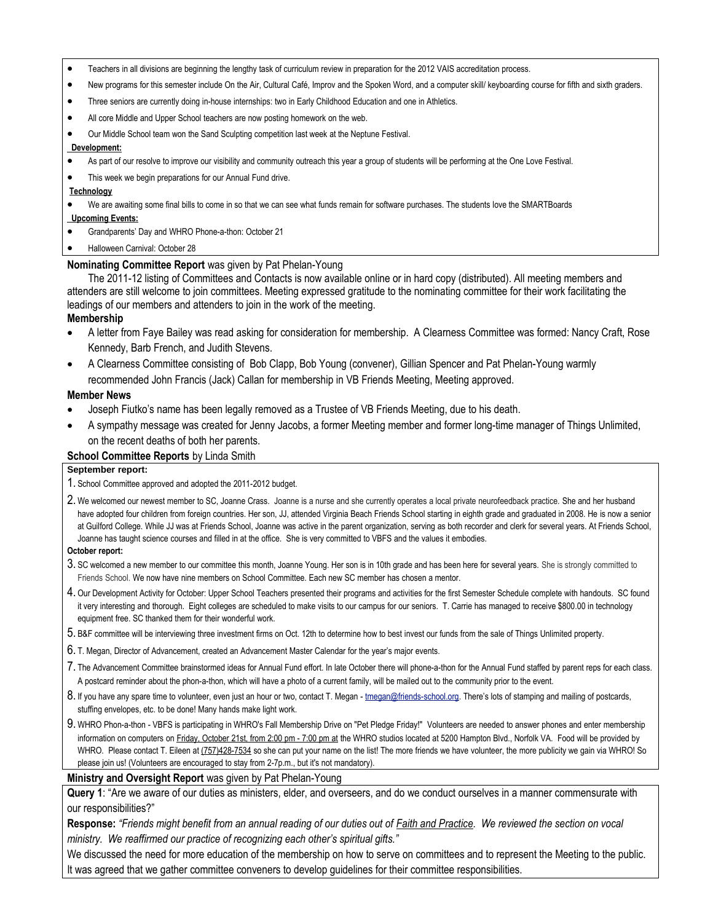- Teachers in all divisions are beginning the lengthy task of curriculum review in preparation for the 2012 VAIS accreditation process.
- New programs for this semester include On the Air, Cultural Café, Improv and the Spoken Word, and a computer skill/ keyboarding course for fifth and sixth graders.
- Three seniors are currently doing in-house internships: two in Early Childhood Education and one in Athletics.
- All core Middle and Upper School teachers are now posting homework on the web.
- Our Middle School team won the Sand Sculpting competition last week at the Neptune Festival.

#### **Development:**

- As part of our resolve to improve our visibility and community outreach this year a group of students will be performing at the One Love Festival.
- This week we begin preparations for our Annual Fund drive.

#### **Technology**

We are awaiting some final bills to come in so that we can see what funds remain for software purchases. The students love the SMARTBoards

#### **Upcoming Events:**

- Grandparents' Day and WHRO Phone-a-thon: October 21
- Halloween Carnival: October 28

### **Nominating Committee Report** was given by Pat Phelan-Young

The 2011-12 listing of Committees and Contacts is now available online or in hard copy (distributed). All meeting members and attenders are still welcome to join committees. Meeting expressed gratitude to the nominating committee for their work facilitating the leadings of our members and attenders to join in the work of the meeting.

### **Membership**

- A letter from Faye Bailey was read asking for consideration for membership. A Clearness Committee was formed: Nancy Craft, Rose Kennedy, Barb French, and Judith Stevens.
- A Clearness Committee consisting of Bob Clapp, Bob Young (convener), Gillian Spencer and Pat Phelan-Young warmly recommended John Francis (Jack) Callan for membership in VB Friends Meeting, Meeting approved.

#### **Member News**

- Joseph Fiutko's name has been legally removed as a Trustee of VB Friends Meeting, due to his death.
- A sympathy message was created for Jenny Jacobs, a former Meeting member and former long-time manager of Things Unlimited, on the recent deaths of both her parents.

# **School Committee Reports** by Linda Smith

#### **September report:**

- 1. School Committee approved and adopted the 2011-2012 budget.
- 2. We welcomed our newest member to SC, Joanne Crass. Joanne is a nurse and she currently operates a local private neurofeedback practice. She and her husband have adopted four children from foreign countries. Her son, JJ, attended Virginia Beach Friends School starting in eighth grade and graduated in 2008. He is now a senior at Guilford College. While JJ was at Friends School, Joanne was active in the parent organization, serving as both recorder and clerk for several years. At Friends School, Joanne has taught science courses and filled in at the office. She is very committed to VBFS and the values it embodies.

#### **October report:**

- 3. SC welcomed a new member to our committee this month, Joanne Young. Her son is in 10th grade and has been here for several years. She is strongly committed to Friends School. We now have nine members on School Committee. Each new SC member has chosen a mentor.
- 4. Our Development Activity for October: Upper School Teachers presented their programs and activities for the first Semester Schedule complete with handouts. SC found it very interesting and thorough. Eight colleges are scheduled to make visits to our campus for our seniors. T. Carrie has managed to receive \$800.00 in technology equipment free. SC thanked them for their wonderful work.
- 5. B&F committee will be interviewing three investment firms on Oct. 12th to determine how to best invest our funds from the sale of Things Unlimited property.
- 6. T. Megan, Director of Advancement, created an Advancement Master Calendar for the year's major events.
- 7. The Advancement Committee brainstormed ideas for Annual Fund effort. In late October there will phone-a-thon for the Annual Fund staffed by parent reps for each class. A postcard reminder about the phon-a-thon, which will have a photo of a current family, will be mailed out to the community prior to the event.
- 8. If you have any spare time to volunteer, even just an hour or two, contact T. Megan [tmegan@friends-school.org](mailto:tmegan@friends-school.org). There's lots of stamping and mailing of postcards, stuffing envelopes, etc. to be done! Many hands make light work.
- 9. WHRO Phon-a-thon VBFS is participating in WHRO's Fall Membership Drive on "Pet Pledge Friday!" Volunteers are needed to answer phones and enter membership information on computers on Friday, October 21st, from 2:00 pm - 7:00 pm at the WHRO studios located at 5200 Hampton Blvd., Norfolk VA. Food will be provided by WHRO. Please contact T. Eileen at (757)428-7534 so she can put your name on the list! The more friends we have volunteer, the more publicity we gain via WHRO! So please join us! (Volunteers are encouraged to stay from 2-7p.m., but it's not mandatory).

#### **Ministry and Oversight Report** was given by Pat Phelan-Young

**Query 1**: "Are we aware of our duties as ministers, elder, and overseers, and do we conduct ourselves in a manner commensurate with our responsibilities?"

**Response:** *"Friends might benefit from an annual reading of our duties out of Faith and Practice. We reviewed the section on vocal ministry. We reaffirmed our practice of recognizing each other's spiritual gifts."*

We discussed the need for more education of the membership on how to serve on committees and to represent the Meeting to the public. It was agreed that we gather committee conveners to develop guidelines for their committee responsibilities.